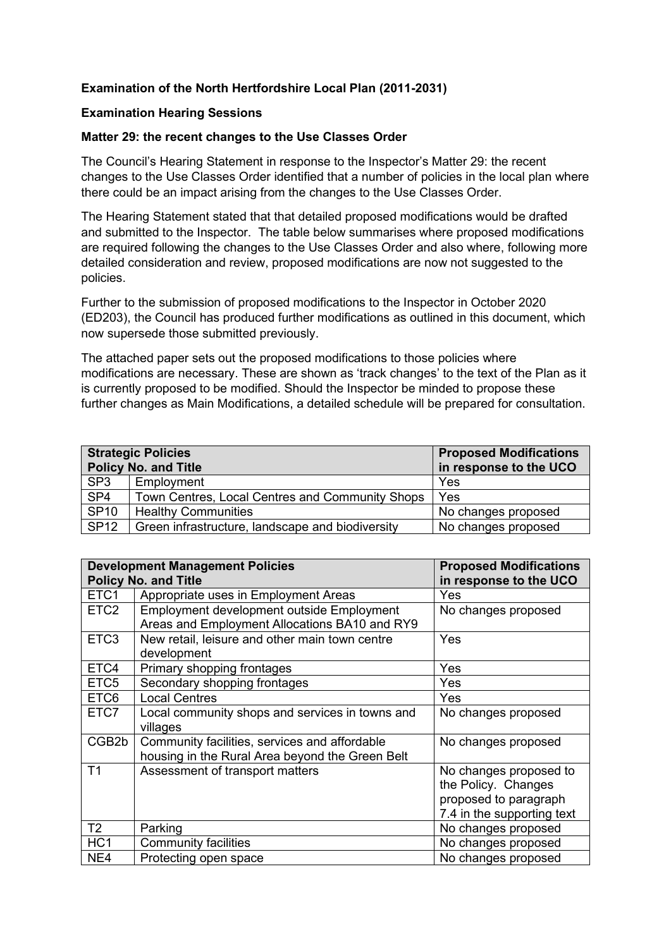## **Examination of the North Hertfordshire Local Plan (2011-2031)**

#### **Examination Hearing Sessions**

### **Matter 29: the recent changes to the Use Classes Order**

The Council's Hearing Statement in response to the Inspector's Matter 29: the recent changes to the Use Classes Order identified that a number of policies in the local plan where there could be an impact arising from the changes to the Use Classes Order.

The Hearing Statement stated that that detailed proposed modifications would be drafted and submitted to the Inspector. The table below summarises where proposed modifications are required following the changes to the Use Classes Order and also where, following more detailed consideration and review, proposed modifications are now not suggested to the policies.

Further to the submission of proposed modifications to the Inspector in October 2020 (ED203), the Council has produced further modifications as outlined in this document, which now supersede those submitted previously.

The attached paper sets out the proposed modifications to those policies where modifications are necessary. These are shown as 'track changes' to the text of the Plan as it is currently proposed to be modified. Should the Inspector be minded to propose these further changes as Main Modifications, a detailed schedule will be prepared for consultation.

| <b>Strategic Policies</b><br><b>Policy No. and Title</b> |                                                  | <b>Proposed Modifications</b><br>in response to the UCO |  |
|----------------------------------------------------------|--------------------------------------------------|---------------------------------------------------------|--|
| SP <sub>3</sub>                                          | Employment                                       | Yes                                                     |  |
| SP4                                                      | Town Centres, Local Centres and Community Shops  | Yes                                                     |  |
| S <sub>P10</sub>                                         | <b>Healthy Communities</b>                       | No changes proposed                                     |  |
| <b>SP12</b>                                              | Green infrastructure, landscape and biodiversity | No changes proposed                                     |  |

|                  | <b>Development Management Policies</b>          | <b>Proposed Modifications</b> |
|------------------|-------------------------------------------------|-------------------------------|
|                  | <b>Policy No. and Title</b>                     | in response to the UCO        |
| ETC1             | Appropriate uses in Employment Areas            | Yes                           |
| ETC <sub>2</sub> | Employment development outside Employment       | No changes proposed           |
|                  | Areas and Employment Allocations BA10 and RY9   |                               |
| ETC <sub>3</sub> | New retail, leisure and other main town centre  | Yes                           |
|                  | development                                     |                               |
| ETC4             | Primary shopping frontages                      | Yes                           |
| ETC <sub>5</sub> | Secondary shopping frontages                    | Yes                           |
| ETC <sub>6</sub> | <b>Local Centres</b>                            | Yes                           |
| ETC7             | Local community shops and services in towns and | No changes proposed           |
|                  | villages                                        |                               |
| CGB2b            | Community facilities, services and affordable   | No changes proposed           |
|                  | housing in the Rural Area beyond the Green Belt |                               |
| T <sub>1</sub>   | Assessment of transport matters                 | No changes proposed to        |
|                  |                                                 | the Policy. Changes           |
|                  |                                                 | proposed to paragraph         |
|                  |                                                 | 7.4 in the supporting text    |
| T <sub>2</sub>   | Parking                                         | No changes proposed           |
| HC <sub>1</sub>  | <b>Community facilities</b>                     | No changes proposed           |
| NE4              | Protecting open space                           | No changes proposed           |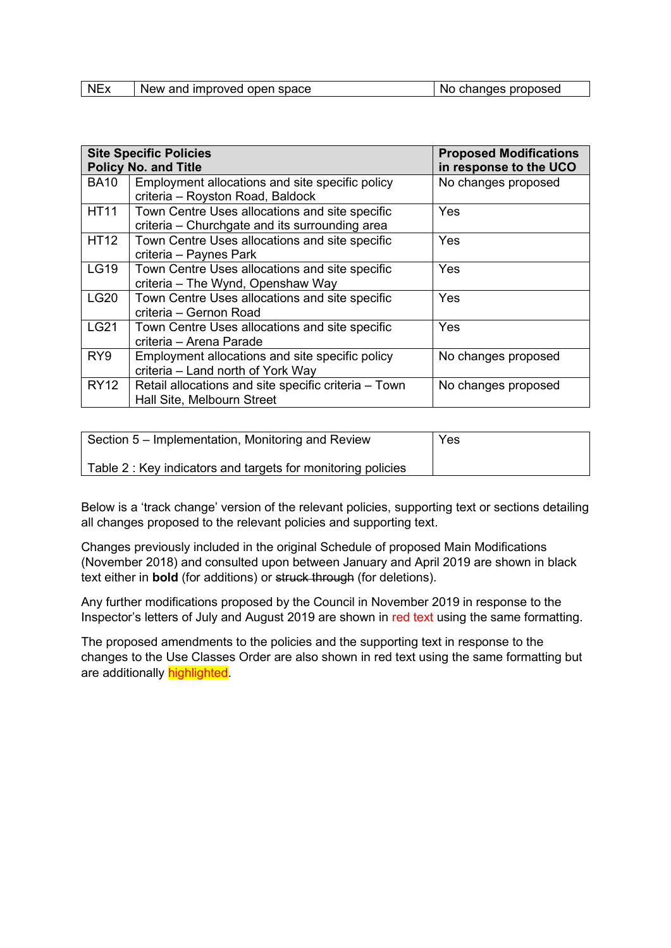| <b>NEx</b> | New and improved open space | changes proposed<br>No |
|------------|-----------------------------|------------------------|

|                 | <b>Site Specific Policies</b><br><b>Policy No. and Title</b>                                            | <b>Proposed Modifications</b><br>in response to the UCO |  |  |
|-----------------|---------------------------------------------------------------------------------------------------------|---------------------------------------------------------|--|--|
| <b>BA10</b>     | Employment allocations and site specific policy<br>criteria - Royston Road, Baldock                     | No changes proposed                                     |  |  |
| <b>HT11</b>     | Town Centre Uses allocations and site specific<br>Yes<br>criteria – Churchgate and its surrounding area |                                                         |  |  |
| <b>HT12</b>     | Town Centre Uses allocations and site specific<br>criteria - Paynes Park                                | Yes                                                     |  |  |
| <b>LG19</b>     | Town Centre Uses allocations and site specific<br>criteria - The Wynd, Openshaw Way                     | Yes                                                     |  |  |
| <b>LG20</b>     | Town Centre Uses allocations and site specific<br>criteria – Gernon Road                                | Yes                                                     |  |  |
| <b>LG21</b>     | Town Centre Uses allocations and site specific<br>criteria - Arena Parade                               | Yes                                                     |  |  |
| RY <sub>9</sub> | Employment allocations and site specific policy<br>criteria - Land north of York Way                    | No changes proposed                                     |  |  |
| <b>RY12</b>     | Retail allocations and site specific criteria - Town<br>Hall Site, Melbourn Street                      | No changes proposed                                     |  |  |

| Section 5 – Implementation, Monitoring and Review           | Yes |
|-------------------------------------------------------------|-----|
| Table 2: Key indicators and targets for monitoring policies |     |

Below is a 'track change' version of the relevant policies, supporting text or sections detailing all changes proposed to the relevant policies and supporting text.

Changes previously included in the original Schedule of proposed Main Modifications (November 2018) and consulted upon between January and April 2019 are shown in black text either in **bold** (for additions) or struck through (for deletions).

Any further modifications proposed by the Council in November 2019 in response to the Inspector's letters of July and August 2019 are shown in red text using the same formatting.

The proposed amendments to the policies and the supporting text in response to the changes to the Use Classes Order are also shown in red text using the same formatting but are additionally **highlighted**.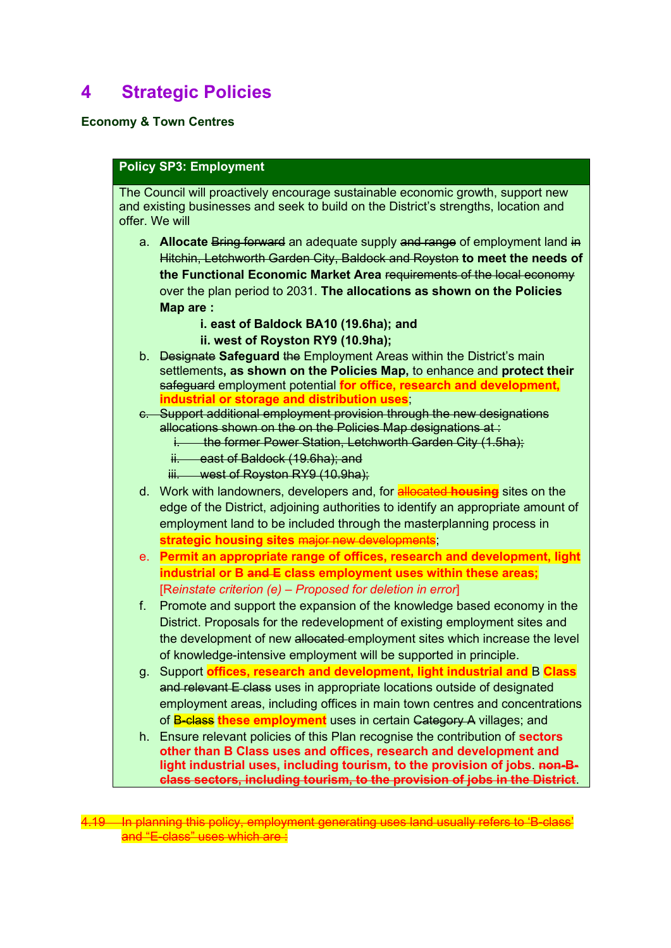# **4 Strategic Policies**

## **Economy & Town Centres**

## **Policy SP3: Employment**

The Council will proactively encourage sustainable economic growth, support new and existing businesses and seek to build on the District's strengths, location and offer. We will

- a. **Allocate** Bring forward an adequate supply and range of employment land in Hitchin, Letchworth Garden City, Baldock and Royston **to meet the needs of the Functional Economic Market Area** requirements of the local economy over the plan period to 2031. **The allocations as shown on the Policies Map are :**
	- **i. east of Baldock BA10 (19.6ha); and**
	- **ii. west of Royston RY9 (10.9ha);**
- b. Designate **Safeguard** the Employment Areas within the District's main settlements**, as shown on the Policies Map,** to enhance and **protect their**  safeguard employment potential **for office, research and development, industrial or storage and distribution uses**;
- c. Support additional employment provision through the new designations allocations shown on the on the Policies Map designations at:
	- i. the former Power Station, Letchworth Garden City (1.5ha);
	- ii. east of Baldock (19.6ha); and
	- iii. west of Royston RY9 (10.9ha);
- d. Work with landowners, developers and, for allocated **housing** sites on the edge of the District, adjoining authorities to identify an appropriate amount of employment land to be included through the masterplanning process in strategic housing sites major new developn
- e. **Permit an appropriate range of offices, research and development, light industrial or B and E class employment uses within these areas;** [R*einstate criterion (e) – Proposed for deletion in error*]
- f. Promote and support the expansion of the knowledge based economy in the District. Proposals for the redevelopment of existing employment sites and the development of new allocated employment sites which increase the level of knowledge-intensive employment will be supported in principle.
- g. Support **offices, research and development, light industrial and** B **Class**  and relevant E class uses in appropriate locations outside of designated employment areas, including offices in main town centres and concentrations of B-class **these employment** uses in certain Category A villages; and
- h. Ensure relevant policies of this Plan recognise the contribution of **sectors other than B Class uses and offices, research and development and light industrial uses, including tourism, to the provision of jobs**. **non-Bclass sectors, including tourism, to the provision of jobs in the District**.

4.19 In planning this policy, employment generating uses land usually refers to 'B-class and "E-class" uses which are :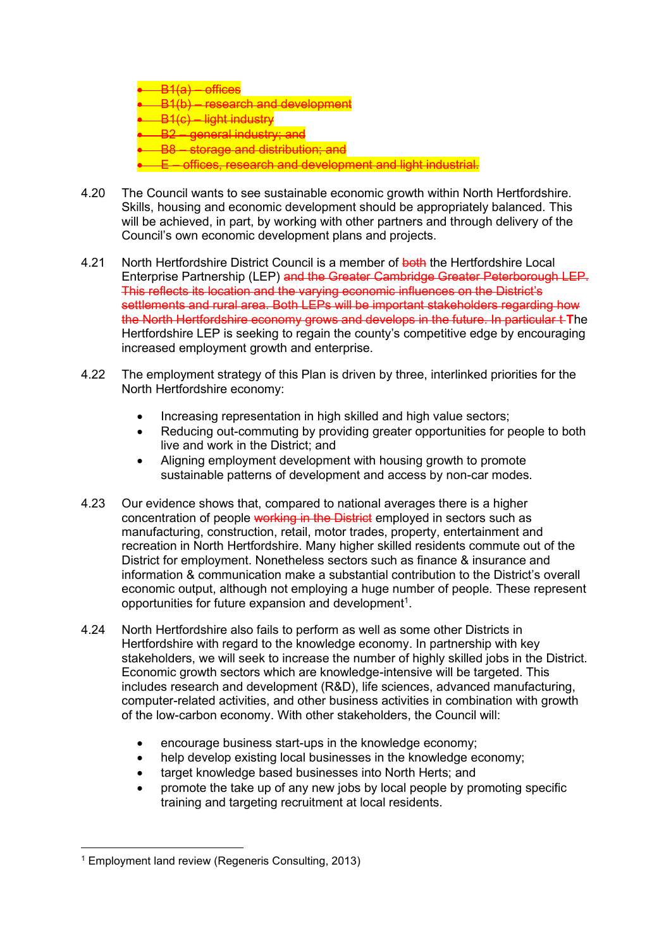• B1(a) – offices • B1(b) – research and development • B1(c) – light industry • B2 – general industry; and – storage and distribution; and • E – offices, research and development and light industrial.

- 4.20 The Council wants to see sustainable economic growth within North Hertfordshire. Skills, housing and economic development should be appropriately balanced. This will be achieved, in part, by working with other partners and through delivery of the Council's own economic development plans and projects.
- 4.21 North Hertfordshire District Council is a member of both the Hertfordshire Local Enterprise Partnership (LEP) and the Greater Cambridge Greater Peterborough LEP. This reflects its location and the varying economic influences on the District's settlements and rural area. Both LEPs will be important stakeholders regarding how the North Hertfordshire economy grows and develops in the future. In particular t **T**he Hertfordshire LEP is seeking to regain the county's competitive edge by encouraging increased employment growth and enterprise.
- 4.22 The employment strategy of this Plan is driven by three, interlinked priorities for the North Hertfordshire economy:
	- Increasing representation in high skilled and high value sectors:
	- Reducing out-commuting by providing greater opportunities for people to both live and work in the District; and
	- Aligning employment development with housing growth to promote sustainable patterns of development and access by non-car modes.
- 4.23 Our evidence shows that, compared to national averages there is a higher concentration of people working in the District employed in sectors such as manufacturing, construction, retail, motor trades, property, entertainment and recreation in North Hertfordshire. Many higher skilled residents commute out of the District for employment. Nonetheless sectors such as finance & insurance and information & communication make a substantial contribution to the District's overall economic output, although not employing a huge number of people. These represent opportunities for future expansion and development<sup>1</sup>.
- 4.24 North Hertfordshire also fails to perform as well as some other Districts in Hertfordshire with regard to the knowledge economy. In partnership with key stakeholders, we will seek to increase the number of highly skilled jobs in the District. Economic growth sectors which are knowledge-intensive will be targeted. This includes research and development (R&D), life sciences, advanced manufacturing, computer-related activities, and other business activities in combination with growth of the low-carbon economy. With other stakeholders, the Council will:
	- encourage business start-ups in the knowledge economy;
	- help develop existing local businesses in the knowledge economy;
	- target knowledge based businesses into North Herts; and
	- promote the take up of any new jobs by local people by promoting specific training and targeting recruitment at local residents.

<sup>1</sup> Employment land review (Regeneris Consulting, 2013)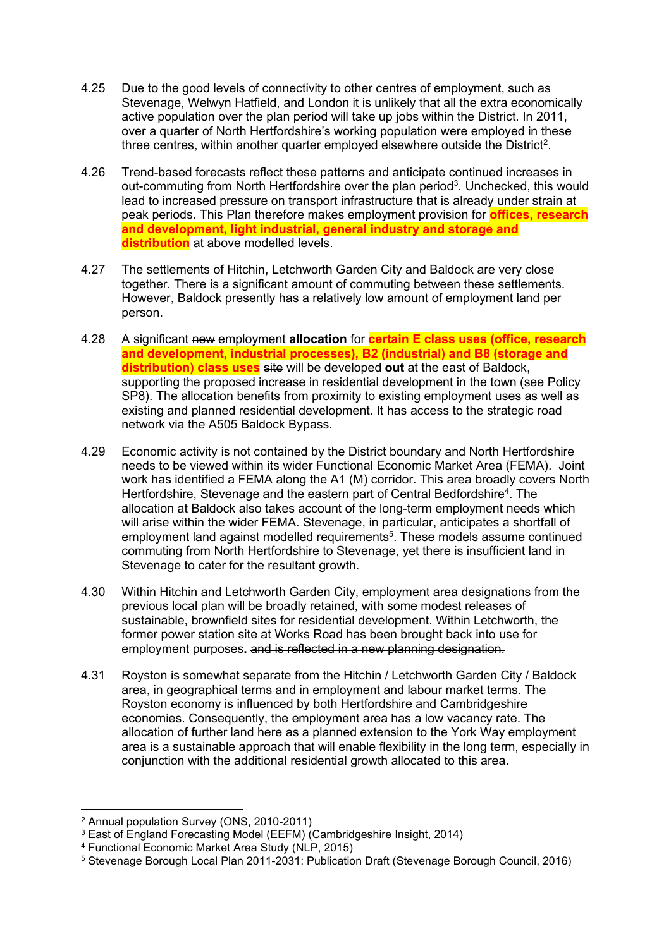- 4.25 Due to the good levels of connectivity to other centres of employment, such as Stevenage, Welwyn Hatfield, and London it is unlikely that all the extra economically active population over the plan period will take up jobs within the District. In 2011, over a quarter of North Hertfordshire's working population were employed in these three centres, within another quarter employed elsewhere outside the District<sup>2</sup>.
- 4.26 Trend-based forecasts reflect these patterns and anticipate continued increases in out-commuting from North Hertfordshire over the plan period<sup>3</sup>. Unchecked, this would lead to increased pressure on transport infrastructure that is already under strain at peak periods. This Plan therefore makes employment provision for **offices, research and development, light industrial, general industry and storage and distribution** at above modelled levels.
- 4.27 The settlements of Hitchin, Letchworth Garden City and Baldock are very close together. There is a significant amount of commuting between these settlements. However, Baldock presently has a relatively low amount of employment land per person.
- 4.28 A significant new employment **allocation** for **certain E class uses (office, research and development, industrial processes), B2 (industrial) and B8 (storage and distribution) class uses** site will be developed **out** at the east of Baldock, supporting the proposed increase in residential development in the town (see Policy SP8). The allocation benefits from proximity to existing employment uses as well as existing and planned residential development. It has access to the strategic road network via the A505 Baldock Bypass.
- 4.29 Economic activity is not contained by the District boundary and North Hertfordshire needs to be viewed within its wider Functional Economic Market Area (FEMA). Joint work has identified a FEMA along the A1 (M) corridor. This area broadly covers North Hertfordshire, Stevenage and the eastern part of Central Bedfordshire<sup>4</sup>. The allocation at Baldock also takes account of the long-term employment needs which will arise within the wider FEMA. Stevenage, in particular, anticipates a shortfall of employment land against modelled requirements<sup>5</sup>. These models assume continued commuting from North Hertfordshire to Stevenage, yet there is insufficient land in Stevenage to cater for the resultant growth.
- 4.30 Within Hitchin and Letchworth Garden City, employment area designations from the previous local plan will be broadly retained, with some modest releases of sustainable, brownfield sites for residential development. Within Letchworth, the former power station site at Works Road has been brought back into use for employment purposes**.** and is reflected in a new planning designation.
- 4.31 Royston is somewhat separate from the Hitchin / Letchworth Garden City / Baldock area, in geographical terms and in employment and labour market terms. The Royston economy is influenced by both Hertfordshire and Cambridgeshire economies. Consequently, the employment area has a low vacancy rate. The allocation of further land here as a planned extension to the York Way employment area is a sustainable approach that will enable flexibility in the long term, especially in conjunction with the additional residential growth allocated to this area.

<sup>2</sup> Annual population Survey (ONS, 2010-2011)

<sup>3</sup> East of England Forecasting Model (EEFM) (Cambridgeshire Insight, 2014)

<sup>4</sup> Functional Economic Market Area Study (NLP, 2015)

<sup>5</sup> Stevenage Borough Local Plan 2011-2031: Publication Draft (Stevenage Borough Council, 2016)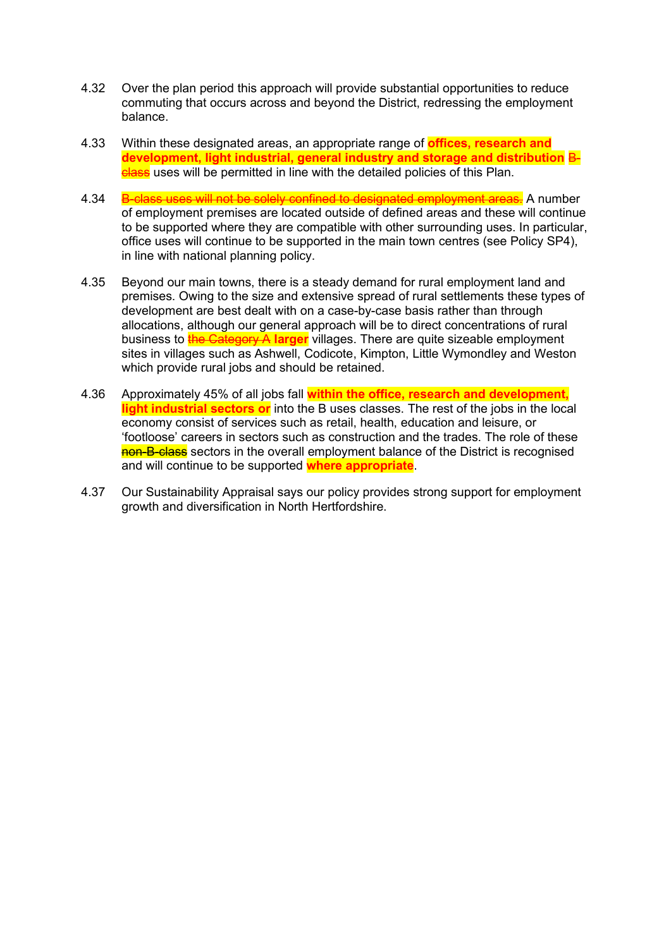- 4.32 Over the plan period this approach will provide substantial opportunities to reduce commuting that occurs across and beyond the District, redressing the employment balance.
- 4.33 Within these designated areas, an appropriate range of **offices, research and development, light industrial, general industry and storage and distribution** B**class** uses will be permitted in line with the detailed policies of this Plan.
- 4.34 B-class uses will not be solely confined to designated employment areas. A number of employment premises are located outside of defined areas and these will continue to be supported where they are compatible with other surrounding uses. In particular, office uses will continue to be supported in the main town centres (see Policy SP4), in line with national planning policy.
- 4.35 Beyond our main towns, there is a steady demand for rural employment land and premises. Owing to the size and extensive spread of rural settlements these types of development are best dealt with on a case-by-case basis rather than through allocations, although our general approach will be to direct concentrations of rural business to the Category A **larger** villages. There are quite sizeable employment sites in villages such as Ashwell, Codicote, Kimpton, Little Wymondley and Weston which provide rural jobs and should be retained.
- 4.36 Approximately 45% of all jobs fall **within the office, research and development, light industrial sectors or** into the B uses classes. The rest of the jobs in the local economy consist of services such as retail, health, education and leisure, or 'footloose' careers in sectors such as construction and the trades. The role of these non-B-class sectors in the overall employment balance of the District is recognised and will continue to be supported **where appropriate**.
- 4.37 Our Sustainability Appraisal says our policy provides strong support for employment growth and diversification in North Hertfordshire.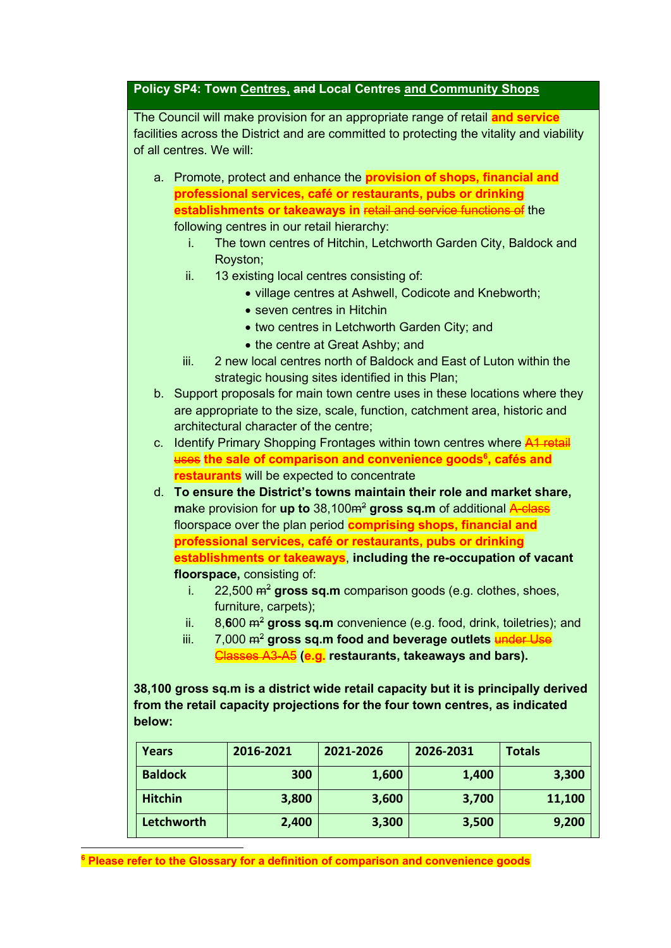## **Policy SP4: Town Centres, and Local Centres and Community Shops**

The Council will make provision for an appropriate range of retail **and service** facilities across the District and are committed to protecting the vitality and viability of all centres. We will:

- a. Promote, protect and enhance the **provision of shops, financial and professional services, café or restaurants, pubs or drinking establishments or takeaways in** retail and service functions of the following centres in our retail hierarchy:
	- i. The town centres of Hitchin, Letchworth Garden City, Baldock and Royston;
	- ii. 13 existing local centres consisting of:
		- village centres at Ashwell, Codicote and Knebworth;
		- seven centres in Hitchin
		- two centres in Letchworth Garden City; and
		- the centre at Great Ashby: and
	- iii. 2 new local centres north of Baldock and East of Luton within the strategic housing sites identified in this Plan;
- b. Support proposals for main town centre uses in these locations where they are appropriate to the size, scale, function, catchment area, historic and architectural character of the centre;
- c. Identify Primary Shopping Frontages within town centres where A1 retail uses **the sale of comparison and convenience goods<sup>6</sup> , cafés and restaurants** will be expected to concentrate
- d. **To ensure the District's towns maintain their role and market share, make provision for up to** 38,100<del>m<sup>2</sup></del> gross sq.m of additional A-class floorspace over the plan period **comprising shops, financial and professional services, café or restaurants, pubs or drinking establishments or takeaways**, **including the re-occupation of vacant floorspace,** consisting of:
	- i. 22,500  $\text{m}^2$  gross sq.m comparison goods (e.g. clothes, shoes, furniture, carpets);
	- ii. 8.600  $\text{m}^2$  **gross sq.m** convenience (e.g. food, drink, toiletries); and
	- iii. 7,000  $m^2$  gross sq.m food and beverage outlets **under Use** Classes A3-A5 **(e.g. restaurants, takeaways and bars).**

**38,100 gross sq.m is a district wide retail capacity but it is principally derived from the retail capacity projections for the four town centres, as indicated below:**

| <b>Years</b>   | 2016-2021 | 2021-2026 | 2026-2031 | <b>Totals</b> |
|----------------|-----------|-----------|-----------|---------------|
| <b>Baldock</b> | 300       | 1,600     | 1,400     | 3,300         |
| <b>Hitchin</b> | 3,800     | 3,600     | 3,700     | 11,100        |
| Letchworth     | 2,400     | 3,300     | 3,500     | 9,200         |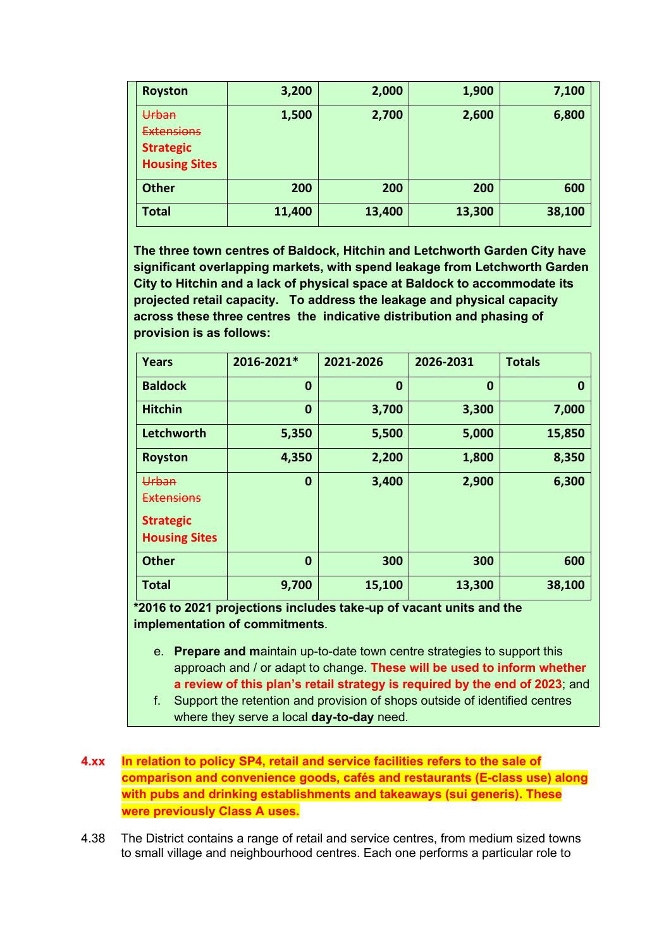| <b>Royston</b>                                                         | 3,200  | 2,000  | 1,900  | 7,100  |
|------------------------------------------------------------------------|--------|--------|--------|--------|
| Urban<br><b>Extensions</b><br><b>Strategic</b><br><b>Housing Sites</b> | 1,500  | 2,700  | 2,600  | 6,800  |
| <b>Other</b>                                                           | 200    | 200    | 200    | 600    |
| <b>Total</b>                                                           | 11,400 | 13,400 | 13,300 | 38,100 |

**The three town centres of Baldock, Hitchin and Letchworth Garden City have significant overlapping markets, with spend leakage from Letchworth Garden City to Hitchin and a lack of physical space at Baldock to accommodate its projected retail capacity. To address the leakage and physical capacity across these three centres the indicative distribution and phasing of provision is as follows:** 

| <b>Years</b>                                                           | 2016-2021* | 2021-2026 | 2026-2031 | <b>Totals</b> |
|------------------------------------------------------------------------|------------|-----------|-----------|---------------|
| <b>Baldock</b>                                                         | 0          | $\bf{0}$  | $\bf{0}$  | 0             |
| <b>Hitchin</b>                                                         | 0          | 3,700     | 3,300     | 7,000         |
| Letchworth                                                             | 5,350      | 5,500     | 5,000     | 15,850        |
| <b>Royston</b>                                                         | 4,350      | 2,200     | 1,800     | 8,350         |
| Urban<br><b>Extensions</b><br><b>Strategic</b><br><b>Housing Sites</b> | 0          | 3,400     | 2,900     | 6,300         |
| <b>Other</b>                                                           | 0          | 300       | 300       | 600           |
| <b>Total</b>                                                           | 9,700      | 15,100    | 13,300    | 38,100        |

**\*2016 to 2021 projections includes take-up of vacant units and the implementation of commitments**.

- e. **Prepare and m**aintain up-to-date town centre strategies to support this approach and / or adapt to change. **These will be used to inform whether a review of this plan's retail strategy is required by the end of 2023**; and
- f. Support the retention and provision of shops outside of identified centres where they serve a local **day-to-day** need.

## **4.xx In relation to policy SP4, retail and service facilities refers to the sale of comparison and convenience goods, cafés and restaurants (E-class use) along with pubs and drinking establishments and takeaways (sui generis). These were previously Class A uses.**

4.38 The District contains a range of retail and service centres, from medium sized towns to small village and neighbourhood centres. Each one performs a particular role to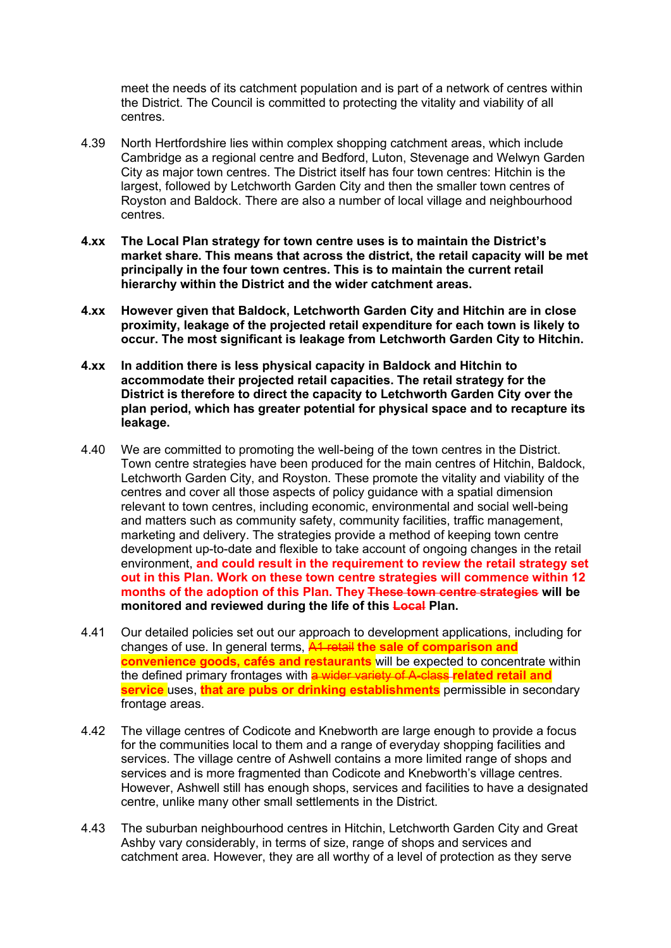meet the needs of its catchment population and is part of a network of centres within the District. The Council is committed to protecting the vitality and viability of all centres.

- 4.39 North Hertfordshire lies within complex shopping catchment areas, which include Cambridge as a regional centre and Bedford, Luton, Stevenage and Welwyn Garden City as major town centres. The District itself has four town centres: Hitchin is the largest, followed by Letchworth Garden City and then the smaller town centres of Royston and Baldock. There are also a number of local village and neighbourhood centres.
- **4.xx The Local Plan strategy for town centre uses is to maintain the District's market share. This means that across the district, the retail capacity will be met principally in the four town centres. This is to maintain the current retail hierarchy within the District and the wider catchment areas.**
- **4.xx However given that Baldock, Letchworth Garden City and Hitchin are in close proximity, leakage of the projected retail expenditure for each town is likely to occur. The most significant is leakage from Letchworth Garden City to Hitchin.**
- **4.xx In addition there is less physical capacity in Baldock and Hitchin to accommodate their projected retail capacities. The retail strategy for the District is therefore to direct the capacity to Letchworth Garden City over the plan period, which has greater potential for physical space and to recapture its leakage.**
- 4.40 We are committed to promoting the well-being of the town centres in the District. Town centre strategies have been produced for the main centres of Hitchin, Baldock, Letchworth Garden City, and Royston. These promote the vitality and viability of the centres and cover all those aspects of policy guidance with a spatial dimension relevant to town centres, including economic, environmental and social well-being and matters such as community safety, community facilities, traffic management, marketing and delivery. The strategies provide a method of keeping town centre development up-to-date and flexible to take account of ongoing changes in the retail environment, **and could result in the requirement to review the retail strategy set out in this Plan. Work on these town centre strategies will commence within 12 months of the adoption of this Plan. They These town centre strategies will be monitored and reviewed during the life of this Local Plan.**
- 4.41 Our detailed policies set out our approach to development applications, including for changes of use. In general terms, A1 retail **the sale of comparison and convenience goods, cafés and restaurants** will be expected to concentrate within the defined primary frontages with a wider variety of A-class **related retail and service** uses, **that are pubs or drinking establishments** permissible in secondary frontage areas.
- 4.42 The village centres of Codicote and Knebworth are large enough to provide a focus for the communities local to them and a range of everyday shopping facilities and services. The village centre of Ashwell contains a more limited range of shops and services and is more fragmented than Codicote and Knebworth's village centres. However, Ashwell still has enough shops, services and facilities to have a designated centre, unlike many other small settlements in the District.
- 4.43 The suburban neighbourhood centres in Hitchin, Letchworth Garden City and Great Ashby vary considerably, in terms of size, range of shops and services and catchment area. However, they are all worthy of a level of protection as they serve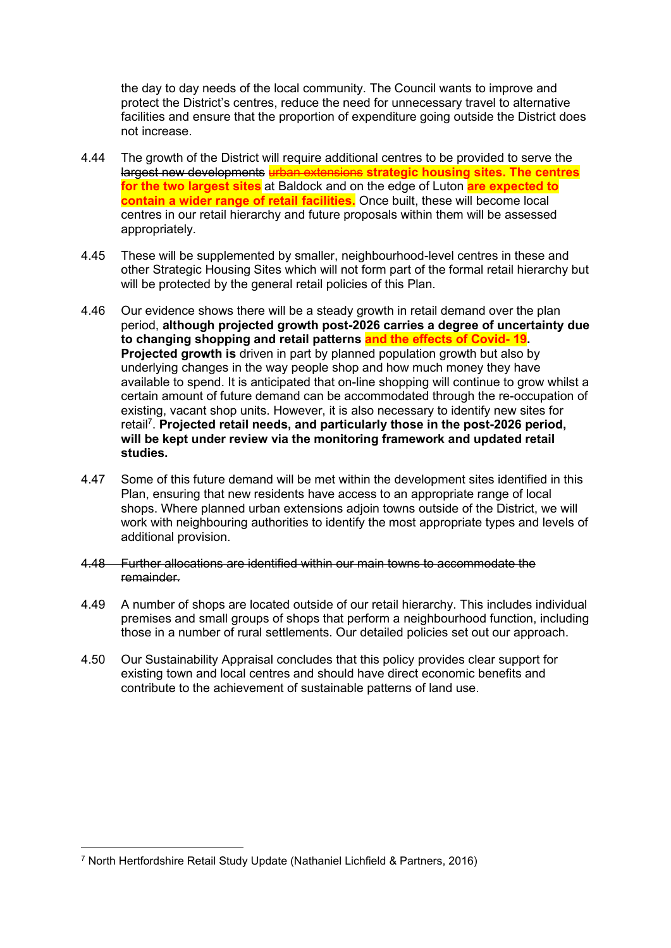the day to day needs of the local community. The Council wants to improve and protect the District's centres, reduce the need for unnecessary travel to alternative facilities and ensure that the proportion of expenditure going outside the District does not increase.

- 4.44 The growth of the District will require additional centres to be provided to serve the largest new developments urban extensions **strategic housing sites. The centres for the two largest sites** at Baldock and on the edge of Luton **are expected to contain a wider range of retail facilities.** Once built, these will become local centres in our retail hierarchy and future proposals within them will be assessed appropriately.
- 4.45 These will be supplemented by smaller, neighbourhood-level centres in these and other Strategic Housing Sites which will not form part of the formal retail hierarchy but will be protected by the general retail policies of this Plan.
- 4.46 Our evidence shows there will be a steady growth in retail demand over the plan period, **although projected growth post-2026 carries a degree of uncertainty due to changing shopping and retail patterns and the effects of Covid- 19. Projected growth is** driven in part by planned population growth but also by underlying changes in the way people shop and how much money they have available to spend. It is anticipated that on-line shopping will continue to grow whilst a certain amount of future demand can be accommodated through the re-occupation of existing, vacant shop units. However, it is also necessary to identify new sites for retail<sup>7</sup>. Projected retail needs, and particularly those in the post-2026 period, **will be kept under review via the monitoring framework and updated retail studies.**
- 4.47 Some of this future demand will be met within the development sites identified in this Plan, ensuring that new residents have access to an appropriate range of local shops. Where planned urban extensions adjoin towns outside of the District, we will work with neighbouring authorities to identify the most appropriate types and levels of additional provision.
- 4.48 Further allocations are identified within our main towns to accommodate the remainder.
- 4.49 A number of shops are located outside of our retail hierarchy. This includes individual premises and small groups of shops that perform a neighbourhood function, including those in a number of rural settlements. Our detailed policies set out our approach.
- 4.50 Our Sustainability Appraisal concludes that this policy provides clear support for existing town and local centres and should have direct economic benefits and contribute to the achievement of sustainable patterns of land use.

<sup>7</sup> North Hertfordshire Retail Study Update (Nathaniel Lichfield & Partners, 2016)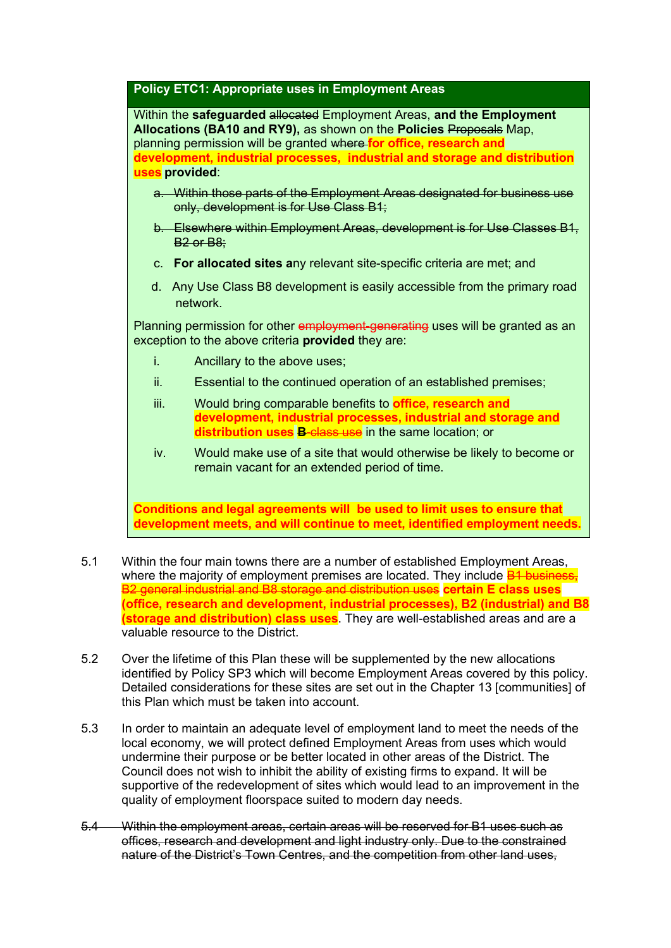## **Policy ETC1: Appropriate uses in Employment Areas**

Within the **safeguarded** allocated Employment Areas, **and the Employment Allocations (BA10 and RY9),** as shown on the **Policies** Proposals Map, planning permission will be granted where **for office, research and development, industrial processes, industrial and storage and distribution uses provided**:

- a. Within those parts of the Employment Areas designated for business use only, development is for Use Class B1;
- b. Elsewhere within Employment Areas, development is for Use Classes B1, B2 or B8;
- c. **For allocated sites a**ny relevant site-specific criteria are met; and
- d. Any Use Class B8 development is easily accessible from the primary road network.

Planning permission for other employment-generating uses will be granted as an exception to the above criteria **provided** they are:

- i. Ancillary to the above uses;
- ii. Essential to the continued operation of an established premises;
- iii. Would bring comparable benefits to **office, research and development, industrial processes, industrial and storage and distribution uses B**-class use in the same location; or
- iv. Would make use of a site that would otherwise be likely to become or remain vacant for an extended period of time.

**Conditions and legal agreements will be used to limit uses to ensure that development meets, and will continue to meet, identified employment needs.**

- 5.1 Within the four main towns there are a number of established Employment Areas, where the majority of employment premises are located. They include  $B1$  business, B2 general industrial and B8 storage and distribution uses **certain E class uses (office, research and development, industrial processes), B2 (industrial) and B8 (storage and distribution) class uses**. They are well-established areas and are a valuable resource to the District.
- 5.2 Over the lifetime of this Plan these will be supplemented by the new allocations identified by Policy SP3 which will become Employment Areas covered by this policy. Detailed considerations for these sites are set out in the Chapter 13 [communities] of this Plan which must be taken into account.
- 5.3 In order to maintain an adequate level of employment land to meet the needs of the local economy, we will protect defined Employment Areas from uses which would undermine their purpose or be better located in other areas of the District. The Council does not wish to inhibit the ability of existing firms to expand. It will be supportive of the redevelopment of sites which would lead to an improvement in the quality of employment floorspace suited to modern day needs.
- 5.4 Within the employment areas, certain areas will be reserved for B1 uses such as offices, research and development and light industry only. Due to the constrained nature of the District's Town Centres, and the competition from other land uses,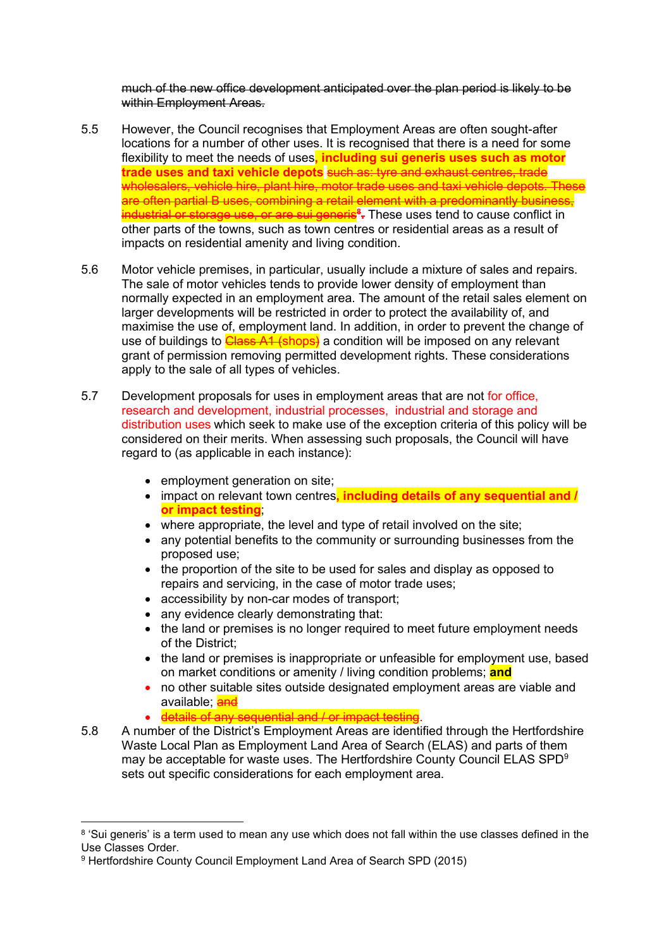much of the new office development anticipated over the plan period is likely to be within Employment Areas.

- 5.5 However, the Council recognises that Employment Areas are often sought-after locations for a number of other uses. It is recognised that there is a need for some flexibility to meet the needs of uses**, including sui generis uses such as motor trade uses and taxi vehicle depots** such as: tyre and exhaust centres, trade wholesalers, vehicle hire, plant hire, motor trade uses and taxi vehicle depots. These are often partial B uses, combining a retail element with a predominantly business, industrial or storage use, or are sui generis**<sup>8</sup> .** These uses tend to cause conflict in other parts of the towns, such as town centres or residential areas as a result of impacts on residential amenity and living condition.
- 5.6 Motor vehicle premises, in particular, usually include a mixture of sales and repairs. The sale of motor vehicles tends to provide lower density of employment than normally expected in an employment area. The amount of the retail sales element on larger developments will be restricted in order to protect the availability of, and maximise the use of, employment land. In addition, in order to prevent the change of use of buildings to **Class A1 (shops)** a condition will be imposed on any relevant grant of permission removing permitted development rights. These considerations apply to the sale of all types of vehicles.
- 5.7 Development proposals for uses in employment areas that are not for office, research and development, industrial processes, industrial and storage and distribution uses which seek to make use of the exception criteria of this policy will be considered on their merits. When assessing such proposals, the Council will have regard to (as applicable in each instance):
	- employment generation on site;
	- impact on relevant town centres**, including details of any sequential and / or impact testing**;
	- where appropriate, the level and type of retail involved on the site;
	- any potential benefits to the community or surrounding businesses from the proposed use;
	- the proportion of the site to be used for sales and display as opposed to repairs and servicing, in the case of motor trade uses;
	- accessibility by non-car modes of transport;
	- any evidence clearly demonstrating that:
	- the land or premises is no longer required to meet future employment needs of the District;
	- the land or premises is inappropriate or unfeasible for employment use, based on market conditions or amenity / living condition problems; **and**
	- no other suitable sites outside designated employment areas are viable and available: **and**
	- details of any sequential and / or impact testing.
- 5.8 A number of the District's Employment Areas are identified through the Hertfordshire Waste Local Plan as Employment Land Area of Search (ELAS) and parts of them may be acceptable for waste uses. The Hertfordshire County Council ELAS SPD<sup>9</sup> sets out specific considerations for each employment area.

 $8$  'Sui generis' is a term used to mean any use which does not fall within the use classes defined in the Use Classes Order.

<sup>9</sup> Hertfordshire County Council Employment Land Area of Search SPD (2015)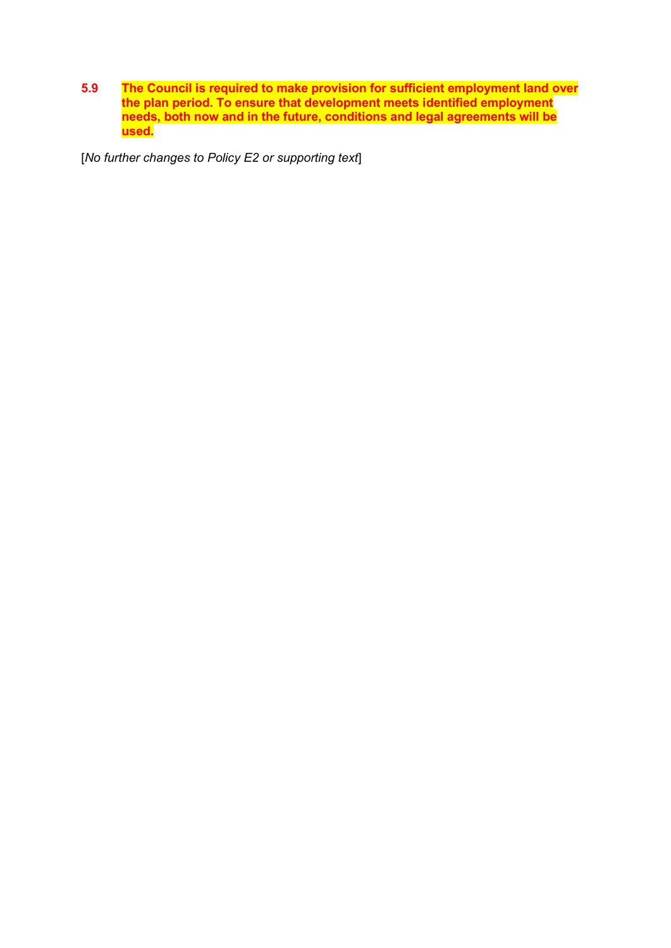**5.9 The Council is required to make provision for sufficient employment land over the plan period. To ensure that development meets identified employment needs, both now and in the future, conditions and legal agreements will be used.**

[*No further changes to Policy E2 or supporting text*]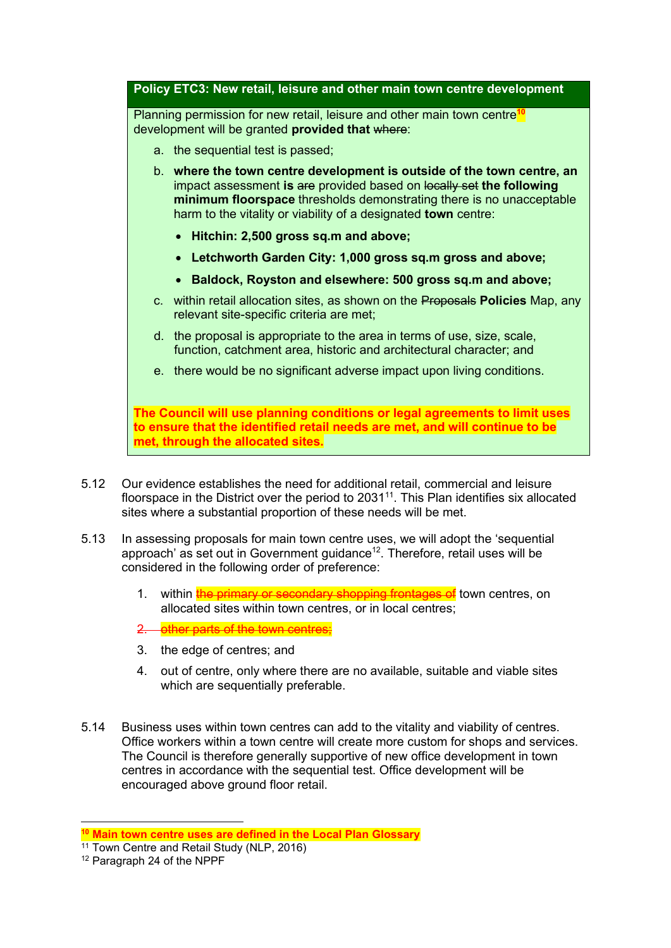**Policy ETC3: New retail, leisure and other main town centre development**

Planning permission for new retail, leisure and other main town centre**<sup>10</sup>** development will be granted **provided that** where:

- a. the sequential test is passed;
- b. **where the town centre development is outside of the town centre, an** impact assessment **is are** provided based on locally set the following **minimum floorspace** thresholds demonstrating there is no unacceptable harm to the vitality or viability of a designated **town** centre:
	- **Hitchin: 2,500 gross sq.m and above;**
	- **Letchworth Garden City: 1,000 gross sq.m gross and above;**
	- **Baldock, Royston and elsewhere: 500 gross sq.m and above;**
- c. within retail allocation sites, as shown on the Proposals **Policies** Map, any relevant site-specific criteria are met;
- d. the proposal is appropriate to the area in terms of use, size, scale, function, catchment area, historic and architectural character; and
- e. there would be no significant adverse impact upon living conditions.

**The Council will use planning conditions or legal agreements to limit uses to ensure that the identified retail needs are met, and will continue to be met, through the allocated sites.**

- 5.12 Our evidence establishes the need for additional retail, commercial and leisure floorspace in the District over the period to 2031<sup>11</sup>. This Plan identifies six allocated sites where a substantial proportion of these needs will be met.
- 5.13 In assessing proposals for main town centre uses, we will adopt the 'sequential approach' as set out in Government guidance<sup>12</sup>. Therefore, retail uses will be considered in the following order of preference:
	- 1. within the primary or secondary shopping frontages of town centres, on allocated sites within town centres, or in local centres;
	- 2. other parts of the town centres;
	- 3. the edge of centres; and
	- 4. out of centre, only where there are no available, suitable and viable sites which are sequentially preferable.
- 5.14 Business uses within town centres can add to the vitality and viability of centres. Office workers within a town centre will create more custom for shops and services. The Council is therefore generally supportive of new office development in town centres in accordance with the sequential test. Office development will be encouraged above ground floor retail.

**<sup>10</sup> Main town centre uses are defined in the Local Plan Glossary**

<sup>&</sup>lt;sup>11</sup> Town Centre and Retail Study (NLP, 2016)

<sup>12</sup> Paragraph 24 of the NPPF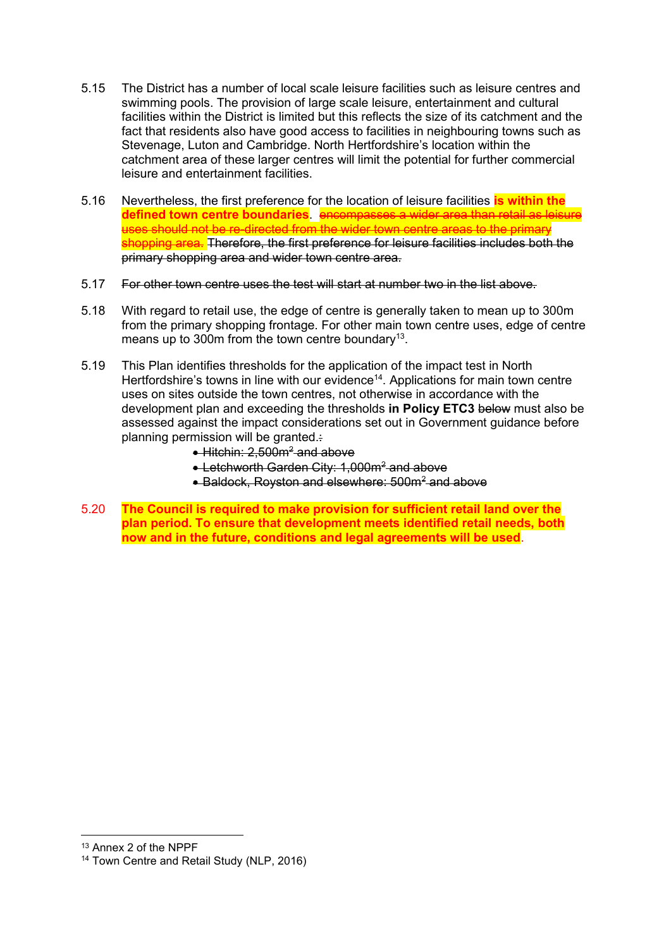- 5.15 The District has a number of local scale leisure facilities such as leisure centres and swimming pools. The provision of large scale leisure, entertainment and cultural facilities within the District is limited but this reflects the size of its catchment and the fact that residents also have good access to facilities in neighbouring towns such as Stevenage, Luton and Cambridge. North Hertfordshire's location within the catchment area of these larger centres will limit the potential for further commercial leisure and entertainment facilities.
- 5.16 Nevertheless, the first preference for the location of leisure facilities **is within the defined town centre boundaries**. encompasses a wider area than retail as leisure  $\frac{1}{2}$  the wider town centre areas to the primary shopping area. Therefore, the first preference for leisure facilities includes both the primary shopping area and wider town centre area.
- 5.17 For other town centre uses the test will start at number two in the list above.
- 5.18 With regard to retail use, the edge of centre is generally taken to mean up to 300m from the primary shopping frontage. For other main town centre uses, edge of centre means up to 300m from the town centre boundary<sup>13</sup>.
- 5.19 This Plan identifies thresholds for the application of the impact test in North Hertfordshire's towns in line with our evidence<sup>14</sup>. Applications for main town centre uses on sites outside the town centres, not otherwise in accordance with the development plan and exceeding the thresholds **in Policy ETC3** below must also be assessed against the impact considerations set out in Government guidance before planning permission will be granted.:
	- $\bullet$  Hitchin: 2,500m<sup>2</sup> and above
	- Letchworth Garden City: 1,000m<sup>2</sup> and above
	- Baldock, Royston and elsewhere: 500m<sup>2</sup> and above
- 5.20 **The Council is required to make provision for sufficient retail land over the plan period. To ensure that development meets identified retail needs, both now and in the future, conditions and legal agreements will be used**.

<sup>13</sup> Annex 2 of the NPPF

<sup>14</sup> Town Centre and Retail Study (NLP, 2016)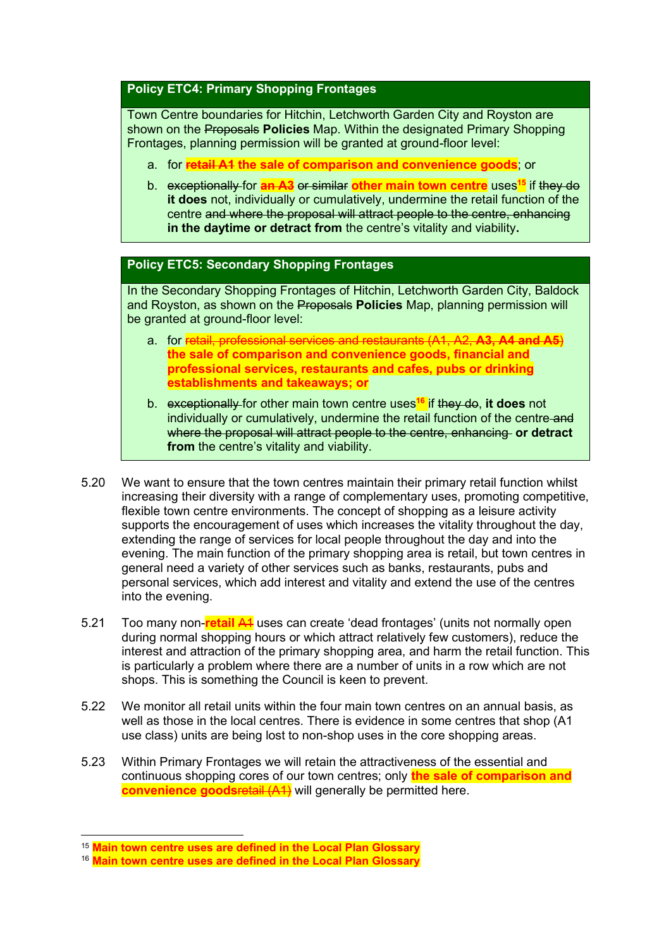## **Policy ETC4: Primary Shopping Frontages**

Town Centre boundaries for Hitchin, Letchworth Garden City and Royston are shown on the Proposals **Policies** Map. Within the designated Primary Shopping Frontages, planning permission will be granted at ground-floor level:

- a. for **retail A1 the sale of comparison and convenience goods**; or
- b. exceptionally for **an A3** or similar **other main town centre** uses **<sup>15</sup>** if they do **it does** not, individually or cumulatively, undermine the retail function of the centre and where the proposal will attract people to the centre, enhancing **in the daytime or detract from** the centre's vitality and viability**.**

## **Policy ETC5: Secondary Shopping Frontages**

In the Secondary Shopping Frontages of Hitchin, Letchworth Garden City, Baldock and Royston, as shown on the Proposals **Policies** Map, planning permission will be granted at ground-floor level:

- a. for retail, professional services and restaurants (A1, A2, **A3, A4 and A5**) **the sale of comparison and convenience goods, financial and professional services, restaurants and cafes, pubs or drinking establishments and takeaways; or**
- b. exceptionally for other main town centre uses**<sup>16</sup>** if they do, **it does** not individually or cumulatively, undermine the retail function of the centre-and where the proposal will attract people to the centre, enhancing **or detract from** the centre's vitality and viability.
- 5.20 We want to ensure that the town centres maintain their primary retail function whilst increasing their diversity with a range of complementary uses, promoting competitive, flexible town centre environments. The concept of shopping as a leisure activity supports the encouragement of uses which increases the vitality throughout the day, extending the range of services for local people throughout the day and into the evening. The main function of the primary shopping area is retail, but town centres in general need a variety of other services such as banks, restaurants, pubs and personal services, which add interest and vitality and extend the use of the centres into the evening.
- 5.21 Too many non-**retail** A1 uses can create 'dead frontages' (units not normally open during normal shopping hours or which attract relatively few customers), reduce the interest and attraction of the primary shopping area, and harm the retail function. This is particularly a problem where there are a number of units in a row which are not shops. This is something the Council is keen to prevent.
- 5.22 We monitor all retail units within the four main town centres on an annual basis, as well as those in the local centres. There is evidence in some centres that shop (A1 use class) units are being lost to non-shop uses in the core shopping areas.
- 5.23 Within Primary Frontages we will retain the attractiveness of the essential and continuous shopping cores of our town centres; only **the sale of comparison and convenience goods** retail (A1) will generally be permitted here.

<sup>15</sup> **Main town centre uses are defined in the Local Plan Glossary**

<sup>16</sup> **Main town centre uses are defined in the Local Plan Glossary**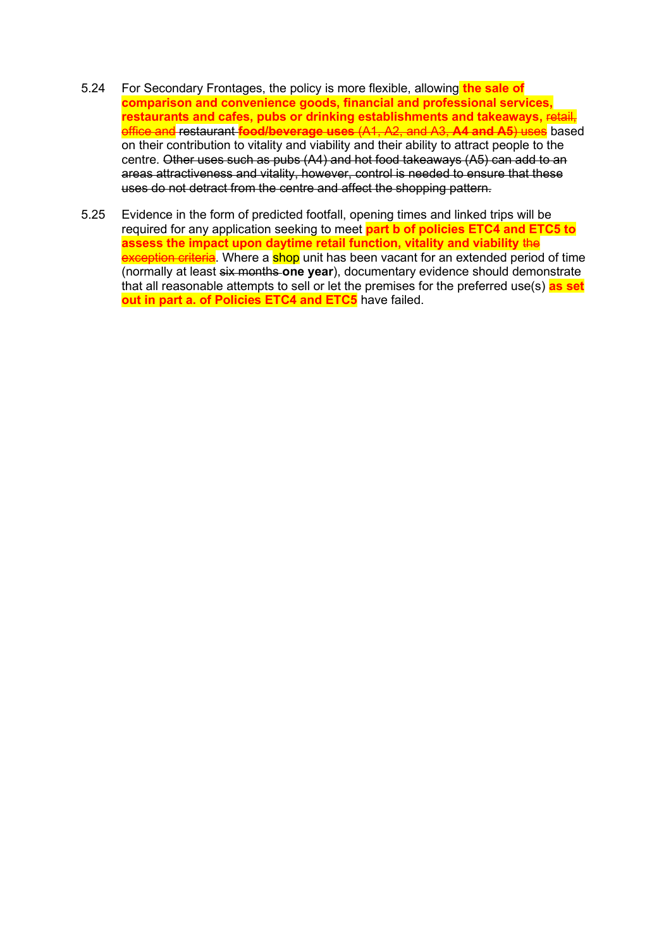- 5.24 For Secondary Frontages, the policy is more flexible, allowing **the sale of comparison and convenience goods, financial and professional services, restaurants and cafes, pubs or drinking establishments and takeaways,** retail, office and restaurant **food/beverage uses** (A1, A2, and A3, **A4 and A5**) uses based on their contribution to vitality and viability and their ability to attract people to the centre. Other uses such as pubs (A4) and hot food takeaways (A5) can add to an areas attractiveness and vitality, however, control is needed to ensure that these uses do not detract from the centre and affect the shopping pattern.
- 5.25 Evidence in the form of predicted footfall, opening times and linked trips will be required for any application seeking to meet **part b of policies ETC4 and ETC5 to assess the impact upon daytime retail function, vitality and viability** the exception criteria. Where a shop unit has been vacant for an extended period of time (normally at least six months **one year**), documentary evidence should demonstrate that all reasonable attempts to sell or let the premises for the preferred use(s) **as set out in part a. of Policies ETC4 and ETC5** have failed.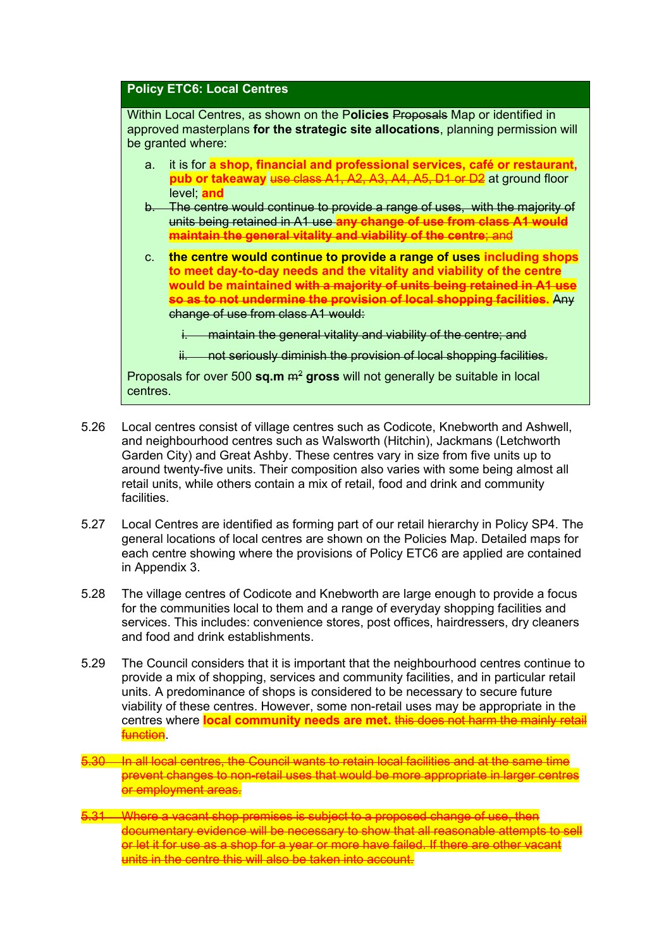#### **Policy ETC6: Local Centres**

Within Local Centres, as shown on the P**olicies** Proposals Map or identified in approved masterplans **for the strategic site allocations**, planning permission will be granted where:

- a. it is for **a shop, financial and professional services, café or restaurant, pub or takeaway** use class A1, A2, A3, A4, A5, D1 or D2 at ground floor level; **and**
- b. The centre would continue to provide a range of uses, with the majority of units being retained in A1 use **any change of use from class A1 would maintain the general vitality and viability of the centre**; and
- c. **the centre would continue to provide a range of uses including shops to meet day-to-day needs and the vitality and viability of the centre would be maintained with a majority of units being retained in A1 use so as to not undermine the provision of local shopping facilities.** Any change of use from class A1 would:
	- i. maintain the general vitality and viability of the centre; and
	- ii. not seriously diminish the provision of local shopping facilities.

Proposals for over 500 **sq.m** m<sup>2</sup> **gross** will not generally be suitable in local centres.

- 5.26 Local centres consist of village centres such as Codicote, Knebworth and Ashwell, and neighbourhood centres such as Walsworth (Hitchin), Jackmans (Letchworth Garden City) and Great Ashby. These centres vary in size from five units up to around twenty-five units. Their composition also varies with some being almost all retail units, while others contain a mix of retail, food and drink and community facilities.
- 5.27 Local Centres are identified as forming part of our retail hierarchy in Policy SP4. The general locations of local centres are shown on the Policies Map. Detailed maps for each centre showing where the provisions of Policy ETC6 are applied are contained in Appendix 3.
- 5.28 The village centres of Codicote and Knebworth are large enough to provide a focus for the communities local to them and a range of everyday shopping facilities and services. This includes: convenience stores, post offices, hairdressers, dry cleaners and food and drink establishments.
- 5.29 The Council considers that it is important that the neighbourhood centres continue to provide a mix of shopping, services and community facilities, and in particular retail units. A predominance of shops is considered to be necessary to secure future viability of these centres. However, some non-retail uses may be appropriate in the centres where **local community needs are met.** this does not harm the mainly retail function.
- 5.30 In all local centres, the Council wants to retain local facilities and at the same time prevent changes to non-retail uses that would be more appropriate in larger centres or employment areas.
- 5.31 Where a vacant shop premises is subject to a proposed change of use, then documentary evidence will be necessary to show that all reasonable attempts to sell or let it for use as a shop for a year or more have failed. If there are other vacant units in the centre this will also be taken into account.